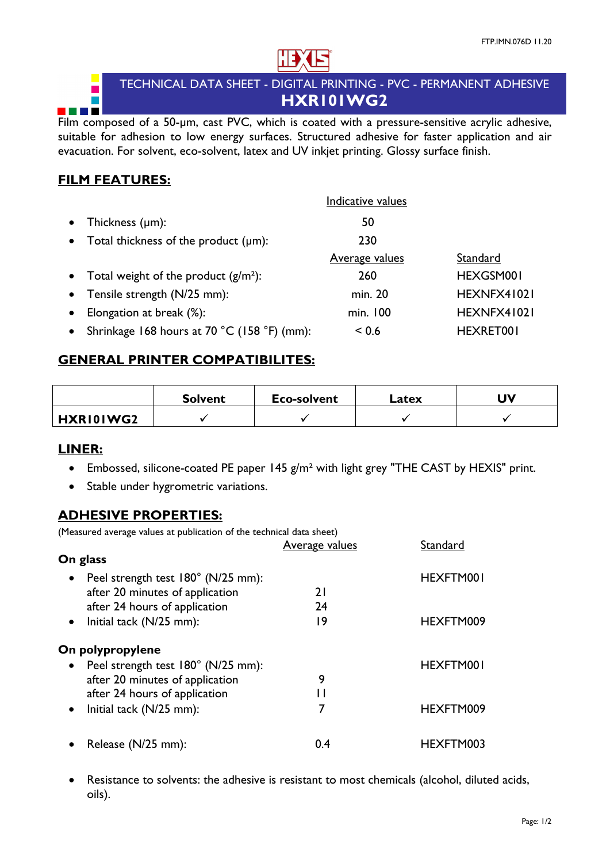

# TECHNICAL DATA SHEET - DIGITAL PRINTING - PVC - PERMANENT ADHESIVE **HXR101WG2**

Film composed of a 50-µm, cast PVC, which is coated with a pressure-sensitive acrylic adhesive, suitable for adhesion to low energy surfaces. Structured adhesive for faster application and air evacuation. For solvent, eco-solvent, latex and UV inkjet printing. Glossy surface finish.

## **FILM FEATURES:**

F a propinsi

**COLOR** 

|           |                                              | Indicative values     |             |
|-----------|----------------------------------------------|-----------------------|-------------|
| $\bullet$ | Thickness $(\mu m)$ :                        | 50                    |             |
|           | • Total thickness of the product $(\mu m)$ : | 230                   |             |
|           |                                              | <b>Average values</b> | Standard    |
|           | • Total weight of the product $(g/m^2)$ :    | 260                   | HEXGSM001   |
|           | • Tensile strength (N/25 mm):                | min. 20               | HEXNFX41021 |
| $\bullet$ | Elongation at break (%):                     | min. 100              | HEXNFX41021 |
| $\bullet$ | Shrinkage 168 hours at 70 °C (158 °F) (mm):  | < 0.6                 | HEXRET001   |
|           |                                              |                       |             |

# **GENERAL PRINTER COMPATIBILITES:**

|           | <b>Solvent</b> | <b>Eco-solvent</b> | Latex | UV |
|-----------|----------------|--------------------|-------|----|
| HXRI0IWG2 |                |                    |       |    |

# **LINER:**

- Embossed, silicone-coated PE paper 145 g/m<sup>2</sup> with light grey "THE CAST by HEXIS" print.
- Stable under hygrometric variations.

### **ADHESIVE PROPERTIES:**

(Measured average values at publication of the technical data sheet)

|                                                                                                                     | <b>Average values</b> | Standard  |
|---------------------------------------------------------------------------------------------------------------------|-----------------------|-----------|
| On glass                                                                                                            |                       |           |
| Peel strength test 180° (N/25 mm):<br>$\bullet$<br>after 20 minutes of application<br>after 24 hours of application | 2 I<br>24             | HEXFTM001 |
| Initial tack (N/25 mm):<br>$\bullet$                                                                                | 19                    | HEXFTM009 |
| On polypropylene                                                                                                    |                       |           |
| Peel strength test 180° (N/25 mm):                                                                                  |                       | HEXFTM001 |
| after 20 minutes of application                                                                                     | 9                     |           |
| after 24 hours of application                                                                                       | Ħ                     |           |
| Initial tack (N/25 mm):<br>$\bullet$                                                                                | 7                     | HEXFTM009 |
| Release (N/25 mm):                                                                                                  | 0.4                   | HEXFTM003 |

• Resistance to solvents: the adhesive is resistant to most chemicals (alcohol, diluted acids, oils).